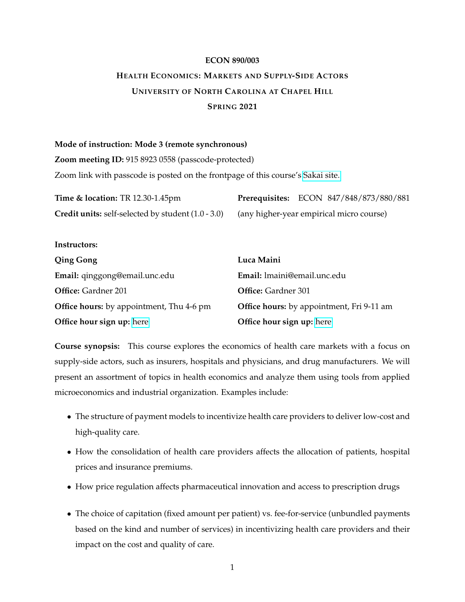## **ECON 890/003**

# <span id="page-0-0"></span>**HEALTH ECONOMICS: MARKETS AND SUPPLY-SIDE ACTORS UNIVERSITY OF NORTH CAROLINA AT CHAPEL HILL SPRING 2021**

#### **Mode of instruction: Mode 3 (remote synchronous)**

**Instructors:**

**Zoom meeting ID:** 915 8923 0558 (passcode-protected)

Zoom link with passcode is posted on the frontpage of this course's [Sakai site.](https://sakai.unc.edu/x/c6mIR6)

| <b>Time &amp; location: TR 12.30-1.45pm</b>               | Prerequisites: ECON 847/848/873/880/881  |
|-----------------------------------------------------------|------------------------------------------|
| <b>Credit units:</b> self-selected by student (1.0 - 3.0) | (any higher-year empirical micro course) |

| <b>Qing Gong</b>                                | Luca Maini                                       |
|-------------------------------------------------|--------------------------------------------------|
| Email: qinggong@email.unc.edu                   | Email: lmaini@email.unc.edu                      |
| <b>Office:</b> Gardner 201                      | <b>Office:</b> Gardner 301                       |
| <b>Office hours:</b> by appointment, Thu 4-6 pm | <b>Office hours:</b> by appointment, Fri 9-11 am |
| Office hour sign up: here                       | Office hour sign up: here                        |

**Course synopsis:** This course explores the economics of health care markets with a focus on supply-side actors, such as insurers, hospitals and physicians, and drug manufacturers. We will present an assortment of topics in health economics and analyze them using tools from applied microeconomics and industrial organization. Examples include:

- The structure of payment models to incentivize health care providers to deliver low-cost and high-quality care.
- How the consolidation of health care providers affects the allocation of patients, hospital prices and insurance premiums.
- How price regulation affects pharmaceutical innovation and access to prescription drugs
- The choice of capitation (fixed amount per patient) vs. fee-for-service (unbundled payments based on the kind and number of services) in incentivizing health care providers and their impact on the cost and quality of care.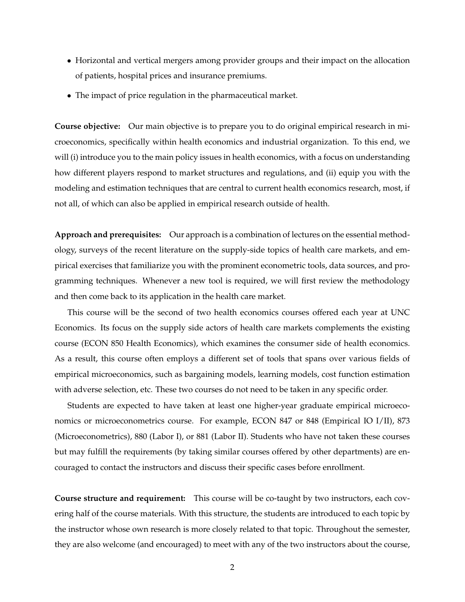- Horizontal and vertical mergers among provider groups and their impact on the allocation of patients, hospital prices and insurance premiums.
- The impact of price regulation in the pharmaceutical market.

**Course objective:** Our main objective is to prepare you to do original empirical research in microeconomics, specifically within health economics and industrial organization. To this end, we will (i) introduce you to the main policy issues in health economics, with a focus on understanding how different players respond to market structures and regulations, and (ii) equip you with the modeling and estimation techniques that are central to current health economics research, most, if not all, of which can also be applied in empirical research outside of health.

**Approach and prerequisites:** Our approach is a combination of lectures on the essential methodology, surveys of the recent literature on the supply-side topics of health care markets, and empirical exercises that familiarize you with the prominent econometric tools, data sources, and programming techniques. Whenever a new tool is required, we will first review the methodology and then come back to its application in the health care market.

This course will be the second of two health economics courses offered each year at UNC Economics. Its focus on the supply side actors of health care markets complements the existing course (ECON 850 Health Economics), which examines the consumer side of health economics. As a result, this course often employs a different set of tools that spans over various fields of empirical microeconomics, such as bargaining models, learning models, cost function estimation with adverse selection, etc. These two courses do not need to be taken in any specific order.

Students are expected to have taken at least one higher-year graduate empirical microeconomics or microeconometrics course. For example, ECON 847 or 848 (Empirical IO I/II), 873 (Microeconometrics), 880 (Labor I), or 881 (Labor II). Students who have not taken these courses but may fulfill the requirements (by taking similar courses offered by other departments) are encouraged to contact the instructors and discuss their specific cases before enrollment.

**Course structure and requirement:** This course will be co-taught by two instructors, each covering half of the course materials. With this structure, the students are introduced to each topic by the instructor whose own research is more closely related to that topic. Throughout the semester, they are also welcome (and encouraged) to meet with any of the two instructors about the course,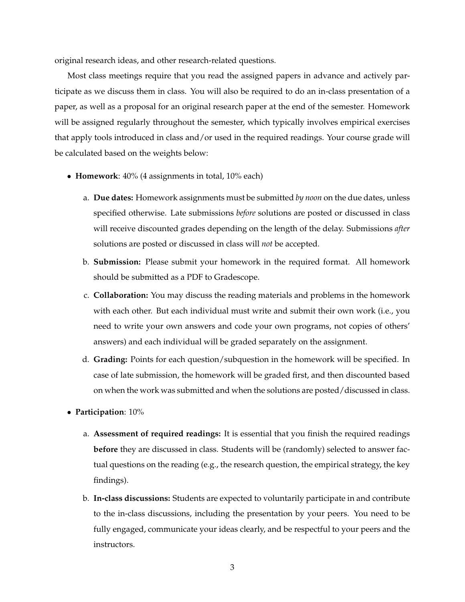original research ideas, and other research-related questions.

Most class meetings require that you read the assigned papers in advance and actively participate as we discuss them in class. You will also be required to do an in-class presentation of a paper, as well as a proposal for an original research paper at the end of the semester. Homework will be assigned regularly throughout the semester, which typically involves empirical exercises that apply tools introduced in class and/or used in the required readings. Your course grade will be calculated based on the weights below:

- **Homework**: 40% (4 assignments in total, 10% each)
	- a. **Due dates:** Homework assignments must be submitted *by noon* on the due dates, unless specified otherwise. Late submissions *before* solutions are posted or discussed in class will receive discounted grades depending on the length of the delay. Submissions *after* solutions are posted or discussed in class will *not* be accepted.
	- b. **Submission:** Please submit your homework in the required format. All homework should be submitted as a PDF to Gradescope.
	- c. **Collaboration:** You may discuss the reading materials and problems in the homework with each other. But each individual must write and submit their own work (i.e., you need to write your own answers and code your own programs, not copies of others' answers) and each individual will be graded separately on the assignment.
	- d. **Grading:** Points for each question/subquestion in the homework will be specified. In case of late submission, the homework will be graded first, and then discounted based on when the work was submitted and when the solutions are posted/discussed in class.
- **Participation**: 10%
	- a. **Assessment of required readings:** It is essential that you finish the required readings **before** they are discussed in class. Students will be (randomly) selected to answer factual questions on the reading (e.g., the research question, the empirical strategy, the key findings).
	- b. **In-class discussions:** Students are expected to voluntarily participate in and contribute to the in-class discussions, including the presentation by your peers. You need to be fully engaged, communicate your ideas clearly, and be respectful to your peers and the instructors.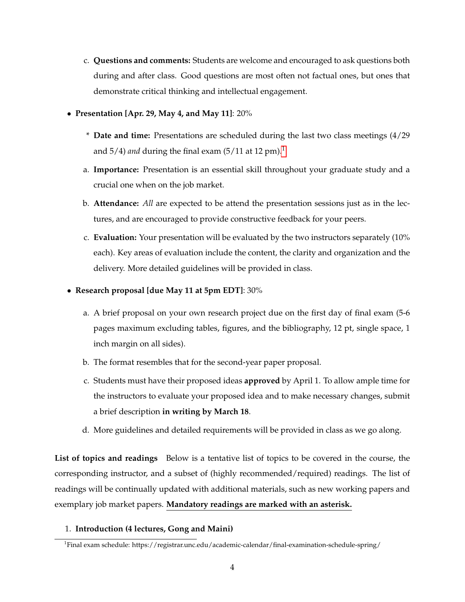- c. **Questions and comments:** Students are welcome and encouraged to ask questions both during and after class. Good questions are most often not factual ones, but ones that demonstrate critical thinking and intellectual engagement.
- **Presentation [Apr. 29, May 4, and May 11]**: 20%
	- \* **Date and time:** Presentations are scheduled during the last two class meetings (4/29 and  $5/4$ ) *and* during the final exam  $(5/11$  $(5/11$  $(5/11$  at  $12$  pm $)^1$ .
	- a. **Importance:** Presentation is an essential skill throughout your graduate study and a crucial one when on the job market.
	- b. **Attendance:** *All* are expected to be attend the presentation sessions just as in the lectures, and are encouraged to provide constructive feedback for your peers.
	- c. **Evaluation:** Your presentation will be evaluated by the two instructors separately (10% each). Key areas of evaluation include the content, the clarity and organization and the delivery. More detailed guidelines will be provided in class.
- **Research proposal [due May 11 at 5pm EDT]**: 30%
	- a. A brief proposal on your own research project due on the first day of final exam (5-6 pages maximum excluding tables, figures, and the bibliography, 12 pt, single space, 1 inch margin on all sides).
	- b. The format resembles that for the second-year paper proposal.
	- c. Students must have their proposed ideas **approved** by April 1. To allow ample time for the instructors to evaluate your proposed idea and to make necessary changes, submit a brief description **in writing by March 18**.
	- d. More guidelines and detailed requirements will be provided in class as we go along.

**List of topics and readings** Below is a tentative list of topics to be covered in the course, the corresponding instructor, and a subset of (highly recommended/required) readings. The list of readings will be continually updated with additional materials, such as new working papers and exemplary job market papers. **Mandatory readings are marked with an asterisk.**

1. **Introduction (4 lectures, Gong and Maini)**

<sup>1</sup> Final exam schedule: https://registrar.unc.edu/academic-calendar/final-examination-schedule-spring/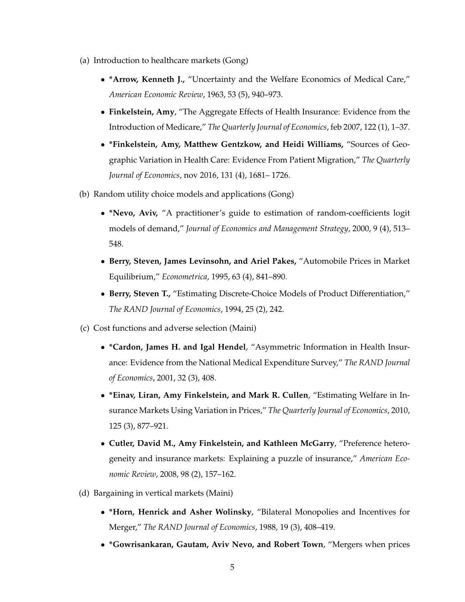- (a) Introduction to healthcare markets (Gong)
	- **\*Arrow, Kenneth J.,** "Uncertainty and the Welfare Economics of Medical Care," *American Economic Review*, 1963, 53 (5), 940–973.
	- **Finkelstein, Amy**, "The Aggregate Effects of Health Insurance: Evidence from the Introduction of Medicare," *The Quarterly Journal of Economics*, feb 2007, 122 (1), 1–37.
	- **\*Finkelstein, Amy, Matthew Gentzkow, and Heidi Williams,** "Sources of Geographic Variation in Health Care: Evidence From Patient Migration," *The Quarterly Journal of Economics*, nov 2016, 131 (4), 1681– 1726.
- (b) Random utility choice models and applications (Gong)
	- **\*Nevo, Aviv,** "A practitioner's guide to estimation of random-coefficients logit models of demand," *Journal of Economics and Management Strategy*, 2000, 9 (4), 513– 548.
	- **Berry, Steven, James Levinsohn, and Ariel Pakes,** "Automobile Prices in Market Equilibrium," *Econometrica*, 1995, 63 (4), 841–890.
	- **Berry, Steven T.,** "Estimating Discrete-Choice Models of Product Differentiation," *The RAND Journal of Economics*, 1994, 25 (2), 242.
- (c) Cost functions and adverse selection (Maini)
	- **\*Cardon, James H. and Igal Hendel**, "Asymmetric Information in Health Insurance: Evidence from the National Medical Expenditure Survey," *The RAND Journal of Economics*, 2001, 32 (3), 408.
	- **\*Einav, Liran, Amy Finkelstein, and Mark R. Cullen**, "Estimating Welfare in Insurance Markets Using Variation in Prices," *The Quarterly Journal of Economics*, 2010, 125 (3), 877–921.
	- **Cutler, David M., Amy Finkelstein, and Kathleen McGarry**, "Preference heterogeneity and insurance markets: Explaining a puzzle of insurance," *American Economic Review*, 2008, 98 (2), 157–162.
- (d) Bargaining in vertical markets (Maini)
	- **\*Horn, Henrick and Asher Wolinsky**, "Bilateral Monopolies and Incentives for Merger," *The RAND Journal of Economics*, 1988, 19 (3), 408–419.
	- **\*Gowrisankaran, Gautam, Aviv Nevo, and Robert Town**, "Mergers when prices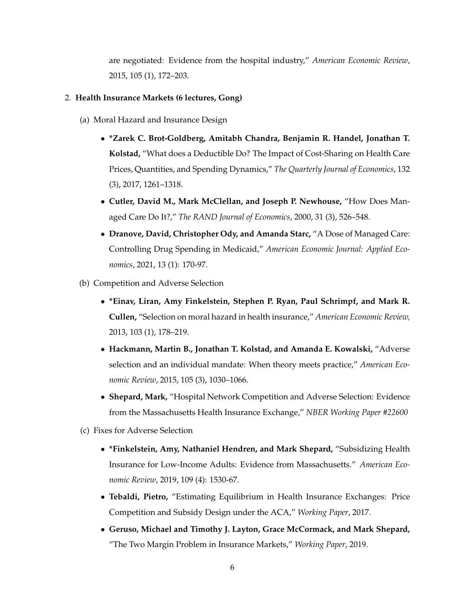are negotiated: Evidence from the hospital industry," *American Economic Review*, 2015, 105 (1), 172–203.

#### 2. **Health Insurance Markets (6 lectures, Gong)**

- (a) Moral Hazard and Insurance Design
	- **\*Zarek C. Brot-Goldberg, Amitabh Chandra, Benjamin R. Handel, Jonathan T. Kolstad,** "What does a Deductible Do? The Impact of Cost-Sharing on Health Care Prices, Quantities, and Spending Dynamics," *The Quarterly Journal of Economics*, 132 (3), 2017, 1261–1318.
	- **Cutler, David M., Mark McClellan, and Joseph P. Newhouse,** "How Does Managed Care Do It?," *The RAND Journal of Economics*, 2000, 31 (3), 526–548.
	- **Dranove, David, Christopher Ody, and Amanda Starc,** "A Dose of Managed Care: Controlling Drug Spending in Medicaid," *American Economic Journal: Applied Economics*, 2021, 13 (1): 170-97.
- (b) Competition and Adverse Selection
	- **\*Einav, Liran, Amy Finkelstein, Stephen P. Ryan, Paul Schrimpf, and Mark R. Cullen,** "Selection on moral hazard in health insurance," *American Economic Review,* 2013, 103 (1), 178–219.
	- **Hackmann, Martin B., Jonathan T. Kolstad, and Amanda E. Kowalski,** "Adverse selection and an individual mandate: When theory meets practice," *American Economic Review*, 2015, 105 (3), 1030–1066.
	- **Shepard, Mark,** "Hospital Network Competition and Adverse Selection: Evidence from the Massachusetts Health Insurance Exchange," *NBER Working Paper #22600*
- (c) Fixes for Adverse Selection
	- **\*Finkelstein, Amy, Nathaniel Hendren, and Mark Shepard,** "Subsidizing Health Insurance for Low-Income Adults: Evidence from Massachusetts." *American Economic Review*, 2019, 109 (4): 1530-67.
	- **Tebaldi, Pietro,** "Estimating Equilibrium in Health Insurance Exchanges: Price Competition and Subsidy Design under the ACA," *Working Paper*, 2017.
	- **Geruso, Michael and Timothy J. Layton, Grace McCormack, and Mark Shepard,** "The Two Margin Problem in Insurance Markets," *Working Paper*, 2019.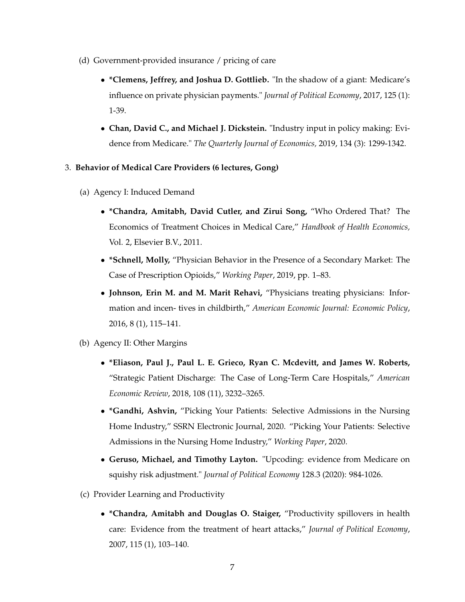- (d) Government-provided insurance / pricing of care
	- **\*Clemens, Jeffrey, and Joshua D. Gottlieb.** "In the shadow of a giant: Medicare's influence on private physician payments." *Journal of Political Economy*, 2017, 125 (1): 1-39.
	- **Chan, David C., and Michael J. Dickstein.** "Industry input in policy making: Evidence from Medicare." *The Quarterly Journal of Economics,* 2019, 134 (3): 1299-1342.

## 3. **Behavior of Medical Care Providers (6 lectures, Gong)**

- (a) Agency I: Induced Demand
	- **\*Chandra, Amitabh, David Cutler, and Zirui Song,** "Who Ordered That? The Economics of Treatment Choices in Medical Care," *Handbook of Health Economics,* Vol. 2, Elsevier B.V., 2011.
	- **\*Schnell, Molly,** "Physician Behavior in the Presence of a Secondary Market: The Case of Prescription Opioids," *Working Paper*, 2019, pp. 1–83.
	- **Johnson, Erin M. and M. Marit Rehavi,** "Physicians treating physicians: Information and incen- tives in childbirth," *American Economic Journal: Economic Policy*, 2016, 8 (1), 115–141.
- (b) Agency II: Other Margins
	- **\*Eliason, Paul J., Paul L. E. Grieco, Ryan C. Mcdevitt, and James W. Roberts,** "Strategic Patient Discharge: The Case of Long-Term Care Hospitals," *American Economic Review*, 2018, 108 (11), 3232–3265.
	- **\*Gandhi, Ashvin,** "Picking Your Patients: Selective Admissions in the Nursing Home Industry," SSRN Electronic Journal, 2020. "Picking Your Patients: Selective Admissions in the Nursing Home Industry," *Working Paper*, 2020.
	- **Geruso, Michael, and Timothy Layton.** "Upcoding: evidence from Medicare on squishy risk adjustment." *Journal of Political Economy* 128.3 (2020): 984-1026.
- (c) Provider Learning and Productivity
	- **\*Chandra, Amitabh and Douglas O. Staiger,** "Productivity spillovers in health care: Evidence from the treatment of heart attacks," *Journal of Political Economy*, 2007, 115 (1), 103–140.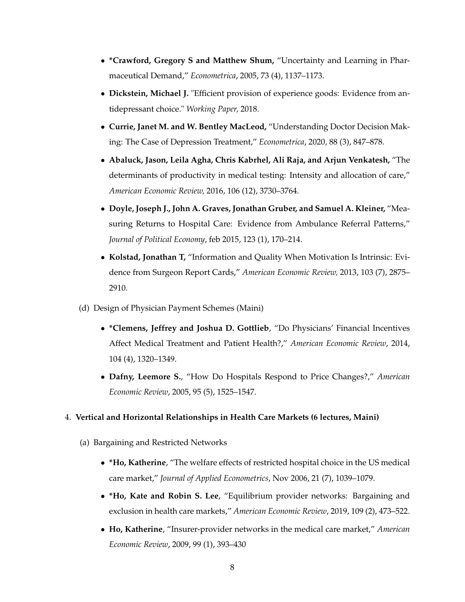- **\*Crawford, Gregory S and Matthew Shum,** "Uncertainty and Learning in Pharmaceutical Demand," *Econometrica*, 2005, 73 (4), 1137–1173.
- **Dickstein, Michael J.** "Efficient provision of experience goods: Evidence from antidepressant choice." *Working Paper,* 2018.
- **Currie, Janet M. and W. Bentley MacLeod,** "Understanding Doctor Decision Making: The Case of Depression Treatment," *Econometrica*, 2020, 88 (3), 847–878.
- **Abaluck, Jason, Leila Agha, Chris Kabrhel, Ali Raja, and Arjun Venkatesh,** "The determinants of productivity in medical testing: Intensity and allocation of care," *American Economic Review,* 2016, 106 (12), 3730–3764.
- **Doyle, Joseph J., John A. Graves, Jonathan Gruber, and Samuel A. Kleiner,** "Measuring Returns to Hospital Care: Evidence from Ambulance Referral Patterns," *Journal of Political Economy*, feb 2015, 123 (1), 170–214.
- **Kolstad, Jonathan T,** "Information and Quality When Motivation Is Intrinsic: Evidence from Surgeon Report Cards," *American Economic Review,* 2013, 103 (7), 2875– 2910.
- (d) Design of Physician Payment Schemes (Maini)
	- **\*Clemens, Jeffrey and Joshua D. Gottlieb**, "Do Physicians' Financial Incentives Affect Medical Treatment and Patient Health?," *American Economic Review*, 2014, 104 (4), 1320–1349.
	- **Dafny, Leemore S.**, "How Do Hospitals Respond to Price Changes?," *American Economic Review*, 2005, 95 (5), 1525–1547.

## 4. **Vertical and Horizontal Relationships in Health Care Markets (6 lectures, Maini)**

- (a) Bargaining and Restricted Networks
	- **\*Ho, Katherine**, "The welfare effects of restricted hospital choice in the US medical care market," *Journal of Applied Econometrics*, Nov 2006, 21 (7), 1039–1079.
	- **\*Ho, Kate and Robin S. Lee**, "Equilibrium provider networks: Bargaining and exclusion in health care markets," *American Economic Review*, 2019, 109 (2), 473–522.
	- **Ho, Katherine**, "Insurer-provider networks in the medical care market," *American Economic Review*, 2009, 99 (1), 393–430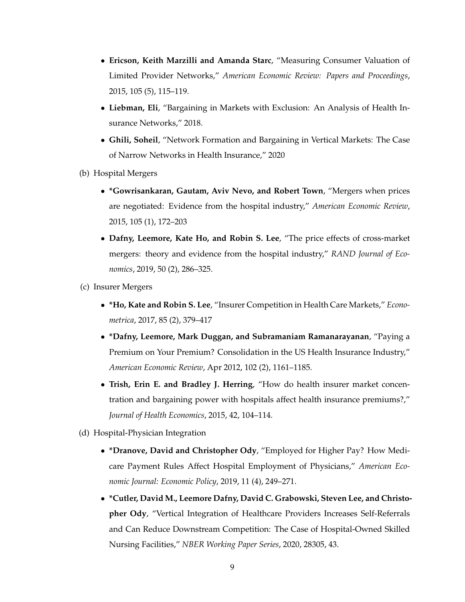- **Ericson, Keith Marzilli and Amanda Starc**, "Measuring Consumer Valuation of Limited Provider Networks," *American Economic Review: Papers and Proceedings*, 2015, 105 (5), 115–119.
- **Liebman, Eli**, "Bargaining in Markets with Exclusion: An Analysis of Health Insurance Networks," 2018.
- **Ghili, Soheil**, "Network Formation and Bargaining in Vertical Markets: The Case of Narrow Networks in Health Insurance," 2020
- (b) Hospital Mergers
	- **\*Gowrisankaran, Gautam, Aviv Nevo, and Robert Town**, "Mergers when prices are negotiated: Evidence from the hospital industry," *American Economic Review*, 2015, 105 (1), 172–203
	- **Dafny, Leemore, Kate Ho, and Robin S. Lee**, "The price effects of cross-market mergers: theory and evidence from the hospital industry," *RAND Journal of Economics*, 2019, 50 (2), 286–325.
- (c) Insurer Mergers
	- **\*Ho, Kate and Robin S. Lee**, "Insurer Competition in Health Care Markets," *Econometrica*, 2017, 85 (2), 379–417
	- **\*Dafny, Leemore, Mark Duggan, and Subramaniam Ramanarayanan**, "Paying a Premium on Your Premium? Consolidation in the US Health Insurance Industry," *American Economic Review*, Apr 2012, 102 (2), 1161–1185.
	- **Trish, Erin E. and Bradley J. Herring**, "How do health insurer market concentration and bargaining power with hospitals affect health insurance premiums?," *Journal of Health Economics*, 2015, 42, 104–114.
- (d) Hospital-Physician Integration
	- **\*Dranove, David and Christopher Ody**, "Employed for Higher Pay? How Medicare Payment Rules Affect Hospital Employment of Physicians," *American Economic Journal: Economic Policy*, 2019, 11 (4), 249–271.
	- **\*Cutler, David M., Leemore Dafny, David C. Grabowski, Steven Lee, and Christopher Ody**, "Vertical Integration of Healthcare Providers Increases Self-Referrals and Can Reduce Downstream Competition: The Case of Hospital-Owned Skilled Nursing Facilities," *NBER Working Paper Series*, 2020, 28305, 43.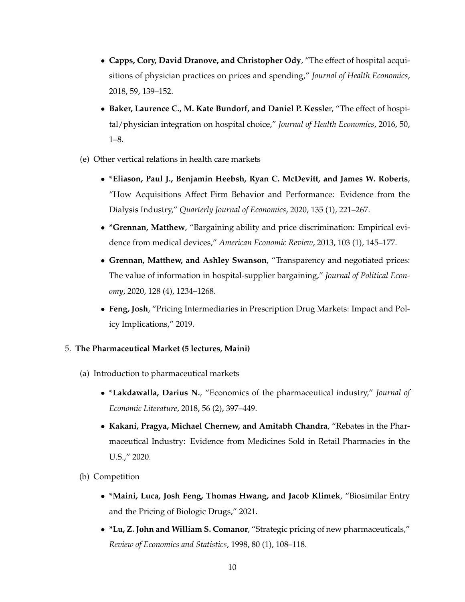- **Capps, Cory, David Dranove, and Christopher Ody**, "The effect of hospital acquisitions of physician practices on prices and spending," *Journal of Health Economics*, 2018, 59, 139–152.
- **Baker, Laurence C., M. Kate Bundorf, and Daniel P. Kessle**r, "The effect of hospital/physician integration on hospital choice," *Journal of Health Economics*, 2016, 50, 1–8.
- (e) Other vertical relations in health care markets
	- **\*Eliason, Paul J., Benjamin Heebsh, Ryan C. McDevitt, and James W. Roberts**, "How Acquisitions Affect Firm Behavior and Performance: Evidence from the Dialysis Industry," *Quarterly Journal of Economics*, 2020, 135 (1), 221–267.
	- **\*Grennan, Matthew**, "Bargaining ability and price discrimination: Empirical evidence from medical devices," *American Economic Review*, 2013, 103 (1), 145–177.
	- **Grennan, Matthew, and Ashley Swanson**, "Transparency and negotiated prices: The value of information in hospital-supplier bargaining," *Journal of Political Economy*, 2020, 128 (4), 1234–1268.
	- **Feng, Josh**, "Pricing Intermediaries in Prescription Drug Markets: Impact and Policy Implications," 2019.

## 5. **The Pharmaceutical Market (5 lectures, Maini)**

- (a) Introduction to pharmaceutical markets
	- **\*Lakdawalla, Darius N.**, "Economics of the pharmaceutical industry," *Journal of Economic Literature*, 2018, 56 (2), 397–449.
	- **Kakani, Pragya, Michael Chernew, and Amitabh Chandra**, "Rebates in the Pharmaceutical Industry: Evidence from Medicines Sold in Retail Pharmacies in the U.S.," 2020.
- (b) Competition
	- **\*Maini, Luca, Josh Feng, Thomas Hwang, and Jacob Klimek**, "Biosimilar Entry and the Pricing of Biologic Drugs," 2021.
	- **\*Lu, Z. John and William S. Comanor**, "Strategic pricing of new pharmaceuticals," *Review of Economics and Statistics*, 1998, 80 (1), 108–118.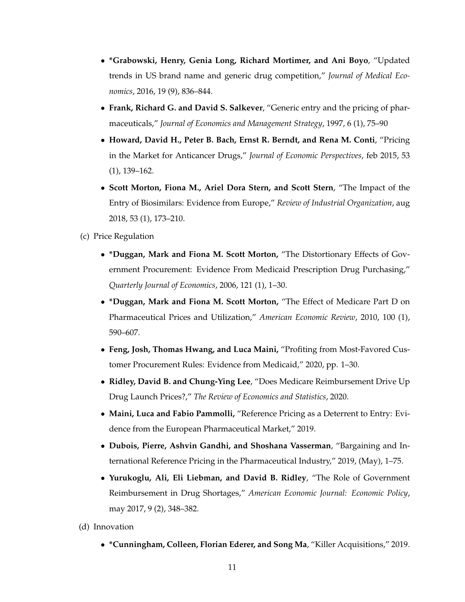- **\*Grabowski, Henry, Genia Long, Richard Mortimer, and Ani Boyo**, "Updated trends in US brand name and generic drug competition," *Journal of Medical Economics*, 2016, 19 (9), 836–844.
- **Frank, Richard G. and David S. Salkever**, "Generic entry and the pricing of pharmaceuticals," *Journal of Economics and Management Strategy*, 1997, 6 (1), 75–90
- **Howard, David H., Peter B. Bach, Ernst R. Berndt, and Rena M. Conti**, "Pricing in the Market for Anticancer Drugs," *Journal of Economic Perspectives*, feb 2015, 53 (1), 139–162.
- **Scott Morton, Fiona M., Ariel Dora Stern, and Scott Stern**, "The Impact of the Entry of Biosimilars: Evidence from Europe," *Review of Industrial Organization*, aug 2018, 53 (1), 173–210.
- (c) Price Regulation
	- **\*Duggan, Mark and Fiona M. Scott Morton,** "The Distortionary Effects of Government Procurement: Evidence From Medicaid Prescription Drug Purchasing," *Quarterly Journal of Economics*, 2006, 121 (1), 1–30.
	- **\*Duggan, Mark and Fiona M. Scott Morton,** "The Effect of Medicare Part D on Pharmaceutical Prices and Utilization," *American Economic Review*, 2010, 100 (1), 590–607.
	- **Feng, Josh, Thomas Hwang, and Luca Maini,** "Profiting from Most-Favored Customer Procurement Rules: Evidence from Medicaid," 2020, pp. 1–30.
	- **Ridley, David B. and Chung-Ying Lee**, "Does Medicare Reimbursement Drive Up Drug Launch Prices?," *The Review of Economics and Statistics*, 2020.
	- **Maini, Luca and Fabio Pammolli,** "Reference Pricing as a Deterrent to Entry: Evidence from the European Pharmaceutical Market," 2019.
	- **Dubois, Pierre, Ashvin Gandhi, and Shoshana Vasserman**, "Bargaining and International Reference Pricing in the Pharmaceutical Industry," 2019, (May), 1–75.
	- **Yurukoglu, Ali, Eli Liebman, and David B. Ridley**, "The Role of Government Reimbursement in Drug Shortages," *American Economic Journal: Economic Policy*, may 2017, 9 (2), 348–382.
- (d) Innovation
	- **\*Cunningham, Colleen, Florian Ederer, and Song Ma**, "Killer Acquisitions," 2019.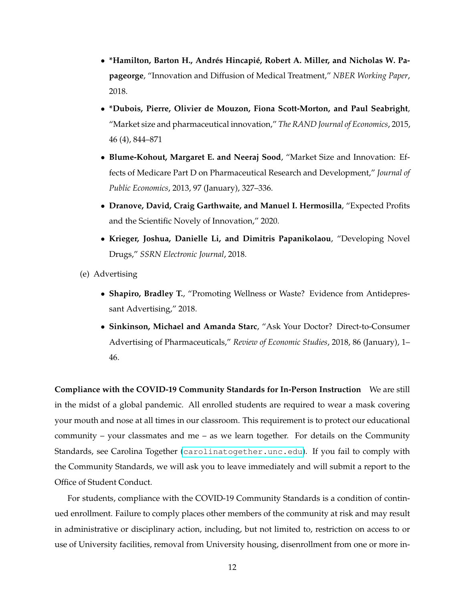- **\*Hamilton, Barton H., Andrés Hincapié, Robert A. Miller, and Nicholas W. Papageorge**, "Innovation and Diffusion of Medical Treatment," *NBER Working Paper*, 2018.
- **\*Dubois, Pierre, Olivier de Mouzon, Fiona Scott-Morton, and Paul Seabright**, "Market size and pharmaceutical innovation," *The RAND Journal of Economics*, 2015, 46 (4), 844–871
- **Blume-Kohout, Margaret E. and Neeraj Sood**, "Market Size and Innovation: Effects of Medicare Part D on Pharmaceutical Research and Development," *Journal of Public Economics*, 2013, 97 (January), 327–336.
- **Dranove, David, Craig Garthwaite, and Manuel I. Hermosilla**, "Expected Profits and the Scientific Novely of Innovation," 2020.
- **Krieger, Joshua, Danielle Li, and Dimitris Papanikolaou**, "Developing Novel Drugs," *SSRN Electronic Journal*, 2018.
- (e) Advertising
	- **Shapiro, Bradley T.**, "Promoting Wellness or Waste? Evidence from Antidepressant Advertising," 2018.
	- **Sinkinson, Michael and Amanda Starc**, "Ask Your Doctor? Direct-to-Consumer Advertising of Pharmaceuticals," *Review of Economic Studies*, 2018, 86 (January), 1– 46.

**Compliance with the COVID-19 Community Standards for In-Person Instruction** We are still in the midst of a global pandemic. All enrolled students are required to wear a mask covering your mouth and nose at all times in our classroom. This requirement is to protect our educational community – your classmates and me – as we learn together. For details on the Community Standards, see Carolina Together (<carolinatogether.unc.edu>). If you fail to comply with the Community Standards, we will ask you to leave immediately and will submit a report to the Office of Student Conduct.

For students, compliance with the COVID-19 Community Standards is a condition of continued enrollment. Failure to comply places other members of the community at risk and may result in administrative or disciplinary action, including, but not limited to, restriction on access to or use of University facilities, removal from University housing, disenrollment from one or more in